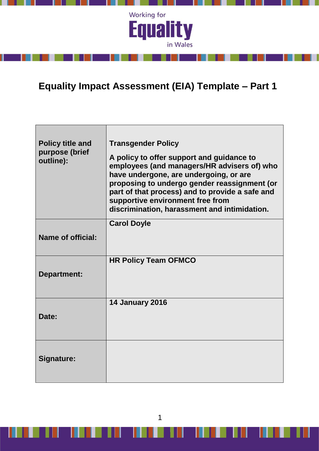

# **Equality Impact Assessment (EIA) Template – Part 1**

| <b>Policy title and</b><br>purpose (brief<br>outline): | <b>Transgender Policy</b><br>A policy to offer support and guidance to<br>employees (and managers/HR advisers of) who<br>have undergone, are undergoing, or are<br>proposing to undergo gender reassignment (or<br>part of that process) and to provide a safe and<br>supportive environment free from<br>discrimination, harassment and intimidation. |
|--------------------------------------------------------|--------------------------------------------------------------------------------------------------------------------------------------------------------------------------------------------------------------------------------------------------------------------------------------------------------------------------------------------------------|
| <b>Name of official:</b>                               | <b>Carol Doyle</b>                                                                                                                                                                                                                                                                                                                                     |
| <b>Department:</b>                                     | <b>HR Policy Team OFMCO</b>                                                                                                                                                                                                                                                                                                                            |
| Date:                                                  | <b>14 January 2016</b>                                                                                                                                                                                                                                                                                                                                 |
| Signature:                                             |                                                                                                                                                                                                                                                                                                                                                        |

1

J

 $\blacksquare$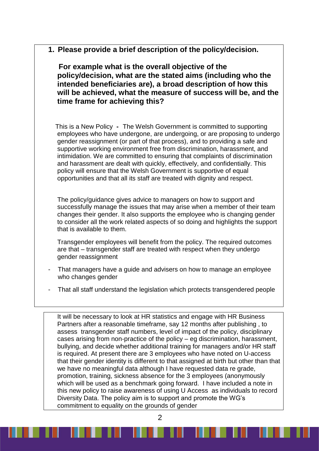**1. Please provide a brief description of the policy/decision.** 

 **For example what is the overall objective of the policy/decision, what are the stated aims (including who the intended beneficiaries are), a broad description of how this will be achieved, what the measure of success will be, and the time frame for achieving this?**

 This is a New Policy **-** The Welsh Government is committed to supporting employees who have undergone, are undergoing, or are proposing to undergo gender reassignment (or part of that process), and to providing a safe and supportive working environment free from discrimination, harassment, and intimidation. We are committed to ensuring that complaints of discrimination and harassment are dealt with quickly, effectively, and confidentially. This policy will ensure that the Welsh Government is supportive of equal opportunities and that all its staff are treated with dignity and respect.

The policy/guidance gives advice to managers on how to support and successfully manage the issues that may arise when a member of their team changes their gender. It also supports the employee who is changing gender to consider all the work related aspects of so doing and highlights the support that is available to them.

Transgender employees will benefit from the policy. The required outcomes are that – transgender staff are treated with respect when they undergo gender reassignment

- That managers have a guide and advisers on how to manage an employee who changes gender
- That all staff understand the legislation which protects transgendered people

It will be necessary to look at HR statistics and engage with HR Business Partners after a reasonable timeframe, say 12 months after publishing , to assess transgender staff numbers, level of impact of the policy, disciplinary cases arising from non-practice of the policy – eg discrimination, harassment, bullying, and decide whether additional training for managers and/or HR staff is required. At present there are 3 employees who have noted on U-access that their gender identity is different to that assigned at birth but other than that we have no meaningful data although I have requested data re grade, promotion, training, sickness absence for the 3 employees (anonymously which will be used as a benchmark going forward. I have included a note in this new policy to raise awareness of using U Access as individuals to record Diversity Data. The policy aim is to support and promote the WG's commitment to equality on the grounds of gender

 $\mathcal{P}$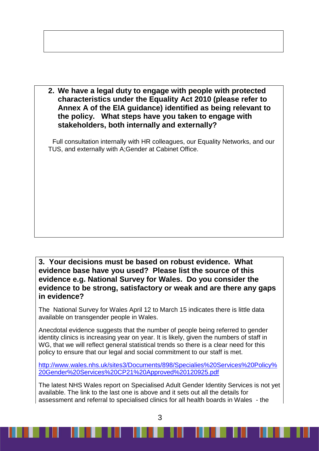**2. We have a legal duty to engage with people with protected characteristics under the Equality Act 2010 (please refer to Annex A of the EIA guidance) identified as being relevant to the policy. What steps have you taken to engage with stakeholders, both internally and externally?**

Full consultation internally with HR colleagues, our Equality Networks, and our TUS, and externally with A;Gender at Cabinet Office.

### **3. Your decisions must be based on robust evidence. What evidence base have you used? Please list the source of this evidence e.g. National Survey for Wales. Do you consider the evidence to be strong, satisfactory or weak and are there any gaps in evidence?**

The National Survey for Wales April 12 to March 15 indicates there is little data available on transgender people in Wales.

Anecdotal evidence suggests that the number of people being referred to gender identity clinics is increasing year on year. It is likely, given the numbers of staff in WG, that we will reflect general statistical trends so there is a clear need for this policy to ensure that our legal and social commitment to our staff is met.

[http://www.wales.nhs.uk/sites3/Documents/898/Specialies%20Services%20Policy%](http://www.wales.nhs.uk/sites3/Documents/898/Specialies%20Services%20Policy%20Gender%20Services%20CP21%20Approved%20120925.pdf) [20Gender%20Services%20CP21%20Approved%20120925.pdf](http://www.wales.nhs.uk/sites3/Documents/898/Specialies%20Services%20Policy%20Gender%20Services%20CP21%20Approved%20120925.pdf)

The latest NHS Wales report on Specialised Adult Gender Identity Services is not yet available. The link to the last one is above and it sets out all the details for assessment and referral to specialised clinics for all health boards in Wales - the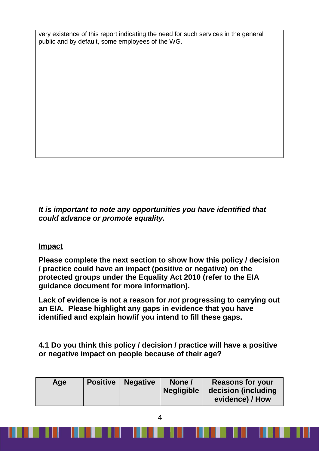very existence of this report indicating the need for such services in the general public and by default, some employees of the WG.

*It is important to note any opportunities you have identified that could advance or promote equality.*

### **Impact**

**Please complete the next section to show how this policy / decision / practice could have an impact (positive or negative) on the protected groups under the Equality Act 2010 (refer to the EIA guidance document for more information).**

**Lack of evidence is not a reason for** *not* **progressing to carrying out an EIA. Please highlight any gaps in evidence that you have identified and explain how/if you intend to fill these gaps.**

**4.1 Do you think this policy / decision / practice will have a positive or negative impact on people because of their age?**

| Age | <b>Positive</b> | <b>Negative</b> | None /<br><b>Negligible</b> | <b>Reasons for your</b><br>decision (including<br>evidence) / How |
|-----|-----------------|-----------------|-----------------------------|-------------------------------------------------------------------|
|-----|-----------------|-----------------|-----------------------------|-------------------------------------------------------------------|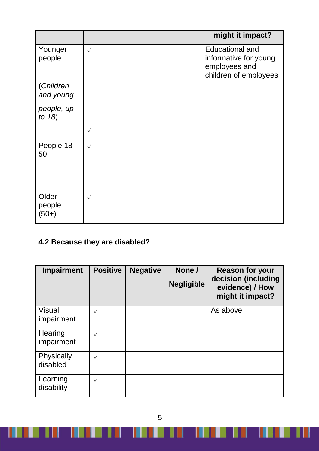|                                             |              |  | might it impact?                                                                          |
|---------------------------------------------|--------------|--|-------------------------------------------------------------------------------------------|
| Younger<br>people<br>(Children<br>and young | $\checkmark$ |  | <b>Educational and</b><br>informative for young<br>employees and<br>children of employees |
| people, up<br>to $18$ )                     |              |  |                                                                                           |
|                                             | $\checkmark$ |  |                                                                                           |
| People 18-<br>50                            | $\checkmark$ |  |                                                                                           |
| Older<br>people<br>$(50+)$                  | $\checkmark$ |  |                                                                                           |

## **4.2 Because they are disabled?**

Ш

| <b>Impairment</b>             | <b>Positive</b> | <b>Negative</b> | None /<br><b>Negligible</b> | <b>Reason for your</b><br>decision (including<br>evidence) / How<br>might it impact? |
|-------------------------------|-----------------|-----------------|-----------------------------|--------------------------------------------------------------------------------------|
| <b>Visual</b><br>impairment   | $\checkmark$    |                 |                             | As above                                                                             |
| Hearing<br>impairment         | $\checkmark$    |                 |                             |                                                                                      |
| <b>Physically</b><br>disabled | $\checkmark$    |                 |                             |                                                                                      |
| Learning<br>disability        | $\checkmark$    |                 |                             |                                                                                      |

5

<u> TIMERIN IN ITT</u>

H

J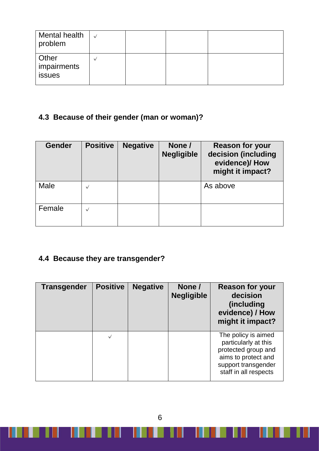| Mental health<br>problem       |  |  |
|--------------------------------|--|--|
| Other<br>impairments<br>issues |  |  |

# **4.3 Because of their gender (man or woman)?**

| <b>Gender</b> | <b>Positive</b> | <b>Negative</b> | None /<br><b>Negligible</b> | <b>Reason for your</b><br>decision (including<br>evidence)/How<br>might it impact? |
|---------------|-----------------|-----------------|-----------------------------|------------------------------------------------------------------------------------|
| Male          | $\checkmark$    |                 |                             | As above                                                                           |
| Female        | $\checkmark$    |                 |                             |                                                                                    |

## **4.4 Because they are transgender?**

<u>the India</u>

| <b>Transgender</b> | <b>Positive</b> | <b>Negative</b> | None /<br><b>Negligible</b> | <b>Reason for your</b><br>decision<br><i>(including)</i><br>evidence) / How<br>might it impact?                                           |
|--------------------|-----------------|-----------------|-----------------------------|-------------------------------------------------------------------------------------------------------------------------------------------|
|                    | $\checkmark$    |                 |                             | The policy is aimed<br>particularly at this<br>protected group and<br>aims to protect and<br>support transgender<br>staff in all respects |

6

U

u

**IN N** 

U

W

 $\Box$ 

an an I

Ш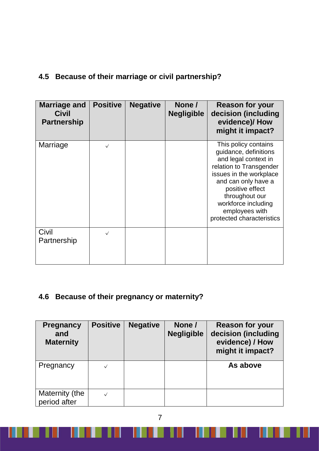## **4.5 Because of their marriage or civil partnership?**

| <b>Marriage and</b><br><b>Civil</b><br><b>Partnership</b> | <b>Positive</b> | <b>Negative</b> | None /<br><b>Negligible</b> | <b>Reason for your</b><br>decision (including<br>evidence)/How<br>might it impact?                                                                                                                                                                            |
|-----------------------------------------------------------|-----------------|-----------------|-----------------------------|---------------------------------------------------------------------------------------------------------------------------------------------------------------------------------------------------------------------------------------------------------------|
| Marriage                                                  | $\checkmark$    |                 |                             | This policy contains<br>guidance, definitions<br>and legal context in<br>relation to Transgender<br>issues in the workplace<br>and can only have a<br>positive effect<br>throughout our<br>workforce including<br>employees with<br>protected characteristics |
| Civil<br>Partnership                                      | $\checkmark$    |                 |                             |                                                                                                                                                                                                                                                               |

## **4.6 Because of their pregnancy or maternity?**

| <b>Pregnancy</b><br>and<br><b>Maternity</b> | <b>Positive</b> | <b>Negative</b> | None /<br><b>Negligible</b> | <b>Reason for your</b><br>decision (including<br>evidence) / How<br>might it impact? |
|---------------------------------------------|-----------------|-----------------|-----------------------------|--------------------------------------------------------------------------------------|
| Pregnancy                                   |                 |                 |                             | As above                                                                             |
| Maternity (the<br>period after              |                 |                 |                             |                                                                                      |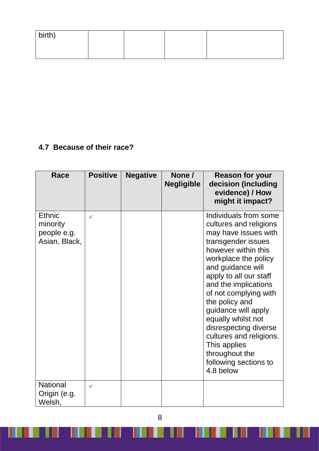| birth) |  |  |
|--------|--|--|
|        |  |  |

## **4.7 Because of their race?**

Ш

| <b>Race</b>                                               | <b>Positive</b> | <b>Negative</b> | None /<br><b>Negligible</b> | <b>Reason for your</b><br>decision (including<br>evidence) / How<br>might it impact?                                                                                                                                                                                                                                                                                                                                                    |
|-----------------------------------------------------------|-----------------|-----------------|-----------------------------|-----------------------------------------------------------------------------------------------------------------------------------------------------------------------------------------------------------------------------------------------------------------------------------------------------------------------------------------------------------------------------------------------------------------------------------------|
| <b>Ethnic</b><br>minority<br>people e.g.<br>Asian, Black, | $\checkmark$    |                 |                             | Individuals from some<br>cultures and religions<br>may have issues with<br>transgender issues<br>however within this<br>workplace the policy<br>and guidance will<br>apply to all our staff<br>and the implications<br>of not complying with<br>the policy and<br>guidance will apply<br>equally whilst not<br>disrespecting diverse<br>cultures and religions.<br>This applies<br>throughout the<br>following sections to<br>4.8 below |
| <b>National</b><br>Origin (e.g.<br>Welsh,                 | $\checkmark$    |                 |                             |                                                                                                                                                                                                                                                                                                                                                                                                                                         |

8

Ш

<u> 1999 - 1999 - 1999 - 1999 - 1999 - 1999 - 1999 - 1999 - 1999 - 1999 - 1999 - 1999 - 1999 - 1999 - 1999 - 1999 - 19</u>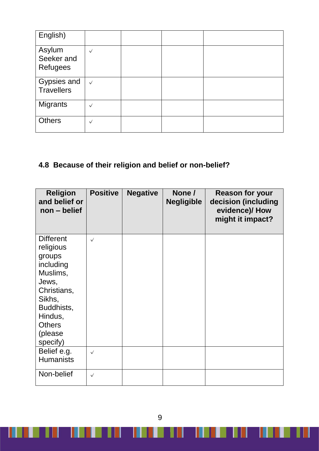| English)                                |              |  |  |
|-----------------------------------------|--------------|--|--|
| Asylum<br>Seeker and<br><b>Refugees</b> | $\checkmark$ |  |  |
| Gypsies and<br><b>Travellers</b>        | $\checkmark$ |  |  |
| <b>Migrants</b>                         | $\checkmark$ |  |  |
| <b>Others</b>                           | $\checkmark$ |  |  |

# **4.8 Because of their religion and belief or non-belief?**

| <b>Religion</b><br>and belief or<br>$non - belief$                                                                                                                   | <b>Positive</b> | <b>Negative</b> | None /<br><b>Negligible</b> | <b>Reason for your</b><br>decision (including<br>evidence)/ How<br>might it impact? |
|----------------------------------------------------------------------------------------------------------------------------------------------------------------------|-----------------|-----------------|-----------------------------|-------------------------------------------------------------------------------------|
| <b>Different</b><br>religious<br>groups<br>including<br>Muslims,<br>Jews,<br>Christians,<br>Sikhs,<br>Buddhists,<br>Hindus,<br><b>Others</b><br>(please)<br>specify) | $\sqrt{ }$      |                 |                             |                                                                                     |
| Belief e.g.<br><b>Humanists</b>                                                                                                                                      | $\checkmark$    |                 |                             |                                                                                     |
| Non-belief                                                                                                                                                           | $\checkmark$    |                 |                             |                                                                                     |

9

J

**THE SECTION** 

I

Ш

 $\blacksquare$ 

III II

ш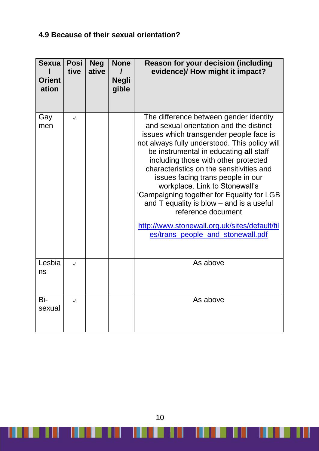### **4.9 Because of their sexual orientation?**

| <b>Sexua</b><br><b>Orient</b><br>ation | <b>Posi</b><br>tive | <b>Neg</b><br>ative | <b>None</b><br><b>Negli</b><br>gible | Reason for your decision (including<br>evidence)/ How might it impact?                                                                                                                                                                                                                                                                                                                                                                                                                                                                                                                   |
|----------------------------------------|---------------------|---------------------|--------------------------------------|------------------------------------------------------------------------------------------------------------------------------------------------------------------------------------------------------------------------------------------------------------------------------------------------------------------------------------------------------------------------------------------------------------------------------------------------------------------------------------------------------------------------------------------------------------------------------------------|
| Gay<br>men                             | $\checkmark$        |                     |                                      | The difference between gender identity<br>and sexual orientation and the distinct<br>issues which transgender people face is<br>not always fully understood. This policy will<br>be instrumental in educating all staff<br>including those with other protected<br>characteristics on the sensitivities and<br>issues facing trans people in our<br>workplace. Link to Stonewall's<br>'Campaigning together for Equality for LGB<br>and T equality is blow - and is a useful<br>reference document<br>http://www.stonewall.org.uk/sites/default/fil<br>es/trans_people_and_stonewall.pdf |
| Lesbia<br>ns                           | $\checkmark$        |                     |                                      | As above                                                                                                                                                                                                                                                                                                                                                                                                                                                                                                                                                                                 |
| Bi-<br>sexual                          | $\checkmark$        |                     |                                      | As above                                                                                                                                                                                                                                                                                                                                                                                                                                                                                                                                                                                 |

10

W

J

 $\blacksquare$ 

<u> 1919 - 1919 - 1911 - 1911 - 1911 - 1911 - 1911 - 1911 - 1911 - 1911 - 1911 - 1911 - 1911 - 1911 - 1911 - 19</u>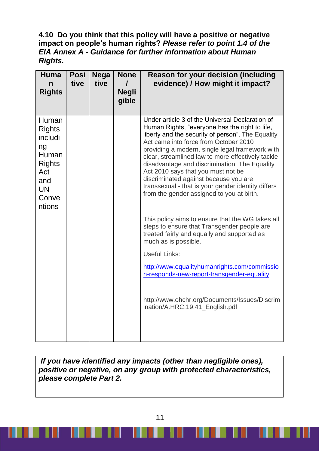#### **4.10 Do you think that this policy will have a positive or negative impact on people's human rights?** *Please refer to point 1.4 of the EIA Annex A - Guidance for further information about Human Rights.*

| <b>Huma</b><br>n<br><b>Rights</b>                                                                               | <b>Posi</b><br>tive | <b>Nega</b><br>tive | <b>None</b><br><b>Negli</b><br>gible | <b>Reason for your decision (including</b><br>evidence) / How might it impact?                                                                                                                                                                                                                                                                                                                                                                                                                                                                                                                                                                                                                                                                                                                                                                                                                                                 |
|-----------------------------------------------------------------------------------------------------------------|---------------------|---------------------|--------------------------------------|--------------------------------------------------------------------------------------------------------------------------------------------------------------------------------------------------------------------------------------------------------------------------------------------------------------------------------------------------------------------------------------------------------------------------------------------------------------------------------------------------------------------------------------------------------------------------------------------------------------------------------------------------------------------------------------------------------------------------------------------------------------------------------------------------------------------------------------------------------------------------------------------------------------------------------|
| Human<br><b>Rights</b><br>includi<br>ng<br>Human<br><b>Rights</b><br>Act<br>and<br><b>UN</b><br>Conve<br>ntions |                     |                     |                                      | Under article 3 of the Universal Declaration of<br>Human Rights, "everyone has the right to life,<br>liberty and the security of person". The Equality<br>Act came into force from October 2010<br>providing a modern, single legal framework with<br>clear, streamlined law to more effectively tackle<br>disadvantage and discrimination. The Equality<br>Act 2010 says that you must not be<br>discriminated against because you are<br>transsexual - that is your gender identity differs<br>from the gender assigned to you at birth.<br>This policy aims to ensure that the WG takes all<br>steps to ensure that Transgender people are<br>treated fairly and equally and supported as<br>much as is possible.<br><b>Useful Links:</b><br>http://www.equalityhumanrights.com/commissio<br>n-responds-new-report-transgender-equality<br>http://www.ohchr.org/Documents/Issues/Discrim<br>ination/A.HRC.19.41_English.pdf |

*If you have identified any impacts (other than negligible ones), positive or negative, on any group with protected characteristics, please complete Part 2.*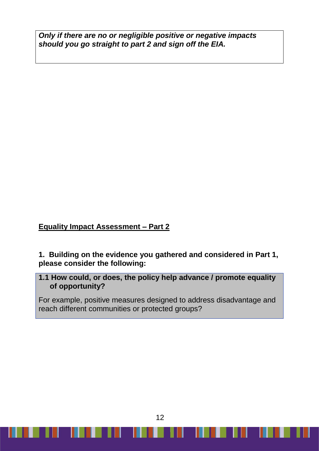*Only if there are no or negligible positive or negative impacts should you go straight to part 2 and sign off the EIA.*

**Equality Impact Assessment – Part 2**

**1. Building on the evidence you gathered and considered in Part 1, please consider the following:**

### **1.1 How could, or does, the policy help advance / promote equality of opportunity?**

For example, positive measures designed to address disadvantage and reach different communities or protected groups?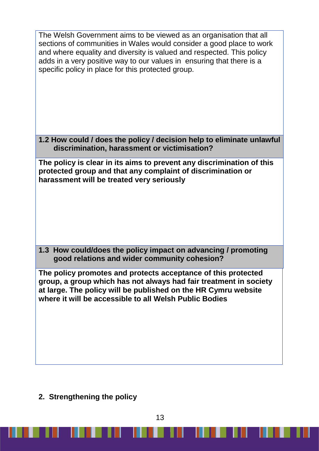| 1.2 How could / does the policy / decision help to eliminate unlawful |
|-----------------------------------------------------------------------|
| The policy is clear in its aims to prevent any discrimination of this |
| 1.3 How could/does the policy impact on advancing / promoting         |
| group, a group which has not always had fair treatment in society     |
|                                                                       |

**2. Strengthening the policy**

۰

- 181

 $\mathbf{I}$ 

U

III.

W

<u> Timbu k</u>

ш

 $\blacksquare$ 

**THE**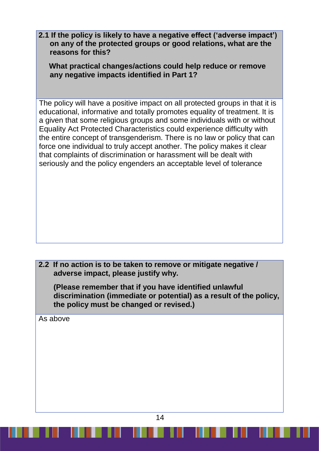**2.1 If the policy is likely to have a negative effect ('adverse impact') on any of the protected groups or good relations, what are the reasons for this?**

 **What practical changes/actions could help reduce or remove any negative impacts identified in Part 1?**

The policy will have a positive impact on all protected groups in that it is educational, informative and totally promotes equality of treatment. It is a given that some religious groups and some individuals with or without Equality Act Protected Characteristics could experience difficulty with the entire concept of transgenderism. There is no law or policy that can force one individual to truly accept another. The policy makes it clear that complaints of discrimination or harassment will be dealt with seriously and the policy engenders an acceptable level of tolerance

**2.2 If no action is to be taken to remove or mitigate negative / adverse impact, please justify why.**

**(Please remember that if you have identified unlawful discrimination (immediate or potential) as a result of the policy, the policy must be changed or revised.)**

As above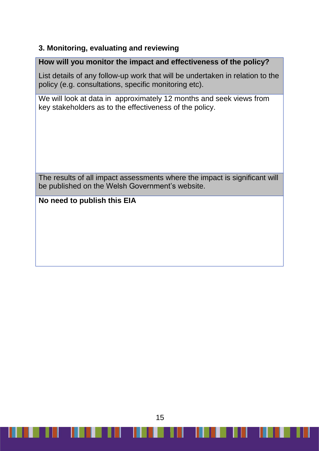### **3. Monitoring, evaluating and reviewing**

### **How will you monitor the impact and effectiveness of the policy?**

List details of any follow-up work that will be undertaken in relation to the policy (e.g. consultations, specific monitoring etc).

We will look at data in approximately 12 months and seek views from key stakeholders as to the effectiveness of the policy.

The results of all impact assessments where the impact is significant will be published on the Welsh Government's website.

### **No need to publish this EIA**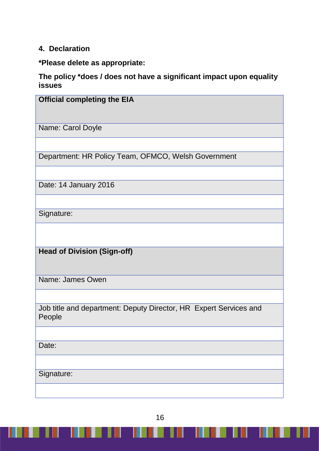### **4. Declaration**

**\*Please delete as appropriate:**

**The policy \*does / does not have a significant impact upon equality issues** 

| <b>Official completing the EIA</b>                                          |
|-----------------------------------------------------------------------------|
|                                                                             |
| Name: Carol Doyle                                                           |
|                                                                             |
| Department: HR Policy Team, OFMCO, Welsh Government                         |
|                                                                             |
| Date: 14 January 2016                                                       |
|                                                                             |
| Signature:                                                                  |
|                                                                             |
| <b>Head of Division (Sign-off)</b>                                          |
| Name: James Owen                                                            |
|                                                                             |
| Job title and department: Deputy Director, HR Expert Services and<br>People |
|                                                                             |
| Date:                                                                       |
|                                                                             |
| Signature:                                                                  |
|                                                                             |

16

. . . . . . . . .